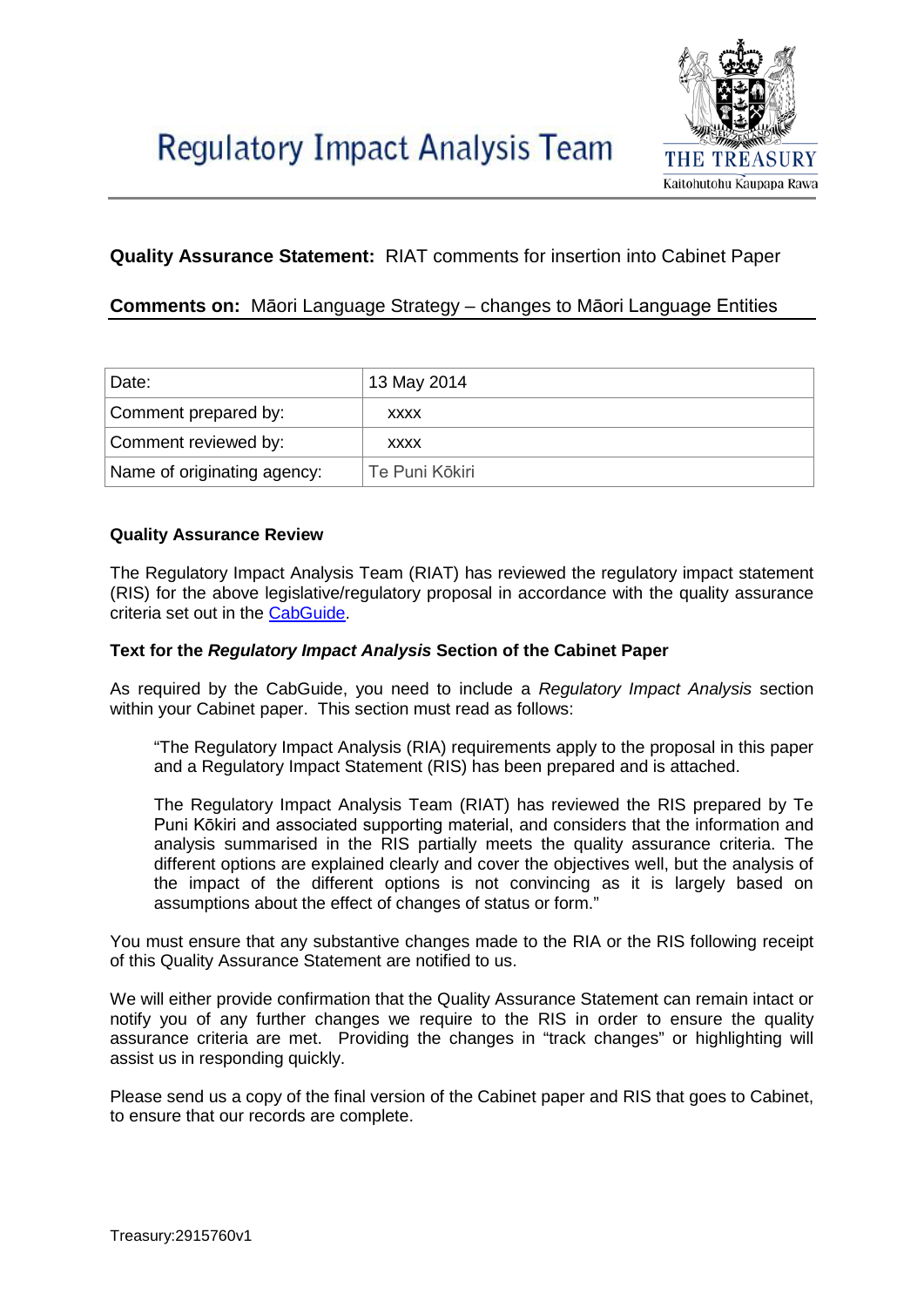

# **Quality Assurance Statement:** RIAT comments for insertion into Cabinet Paper

## **Comments on:** Māori Language Strategy – changes to Māori Language Entities

| Date:                       | 13 May 2014       |
|-----------------------------|-------------------|
| Comment prepared by:        | <b>XXXX</b>       |
| Comment reviewed by:        | <b>XXXX</b>       |
| Name of originating agency: | l Te Puni Kōkiri. |

### **Quality Assurance Review**

The Regulatory Impact Analysis Team (RIAT) has reviewed the regulatory impact statement (RIS) for the above legislative/regulatory proposal in accordance with the quality assurance criteria set out in the [CabGuide.](http://cabguide.cabinetoffice.govt.nz/procedures/regulatory-impact-analysis)

#### **Text for the** *Regulatory Impact Analysis* **Section of the Cabinet Paper**

As required by the CabGuide, you need to include a *Regulatory Impact Analysis* section within your Cabinet paper. This section must read as follows:

"The Regulatory Impact Analysis (RIA) requirements apply to the proposal in this paper and a Regulatory Impact Statement (RIS) has been prepared and is attached.

The Regulatory Impact Analysis Team (RIAT) has reviewed the RIS prepared by Te Puni Kōkiri and associated supporting material, and considers that the information and analysis summarised in the RIS partially meets the quality assurance criteria. The different options are explained clearly and cover the objectives well, but the analysis of the impact of the different options is not convincing as it is largely based on assumptions about the effect of changes of status or form."

You must ensure that any substantive changes made to the RIA or the RIS following receipt of this Quality Assurance Statement are notified to us.

We will either provide confirmation that the Quality Assurance Statement can remain intact or notify you of any further changes we require to the RIS in order to ensure the quality assurance criteria are met. Providing the changes in "track changes" or highlighting will assist us in responding quickly.

Please send us a copy of the final version of the Cabinet paper and RIS that goes to Cabinet, to ensure that our records are complete.